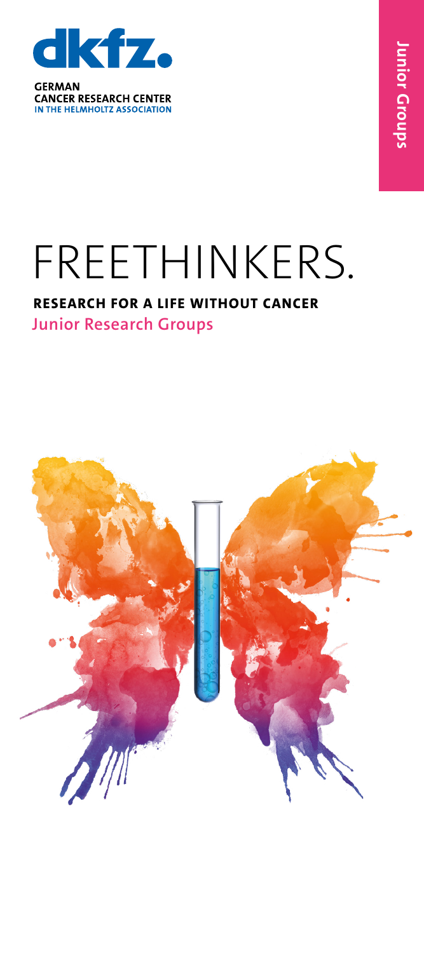

**CANCER RESEARCH CENTER** IN THE HELMHOLTZ ASSOCIATION

## FREETHINKERS.

## **RESEARCH FOR A LIFE WITHOUT CANCER Junior Research Groups**